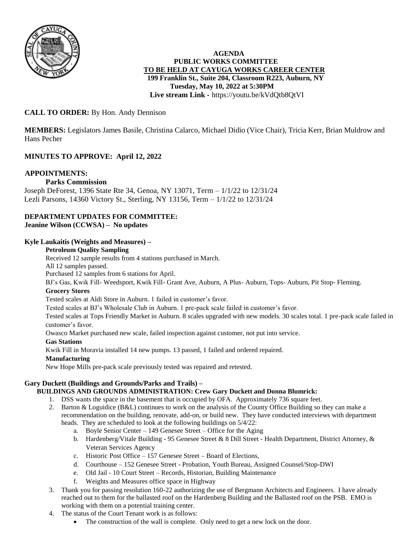

# **AGENDA PUBLIC WORKS COMMITTEE TO BE HELD AT CAYUGA WORKS CAREER CENTER 199 Franklin St., Suite 204, Classroom R223, Auburn, NY Tuesday, May 10, 2022 at 5:30PM Live stream Link -** <https://youtu.be/kVdQtb8QtVI>

# **CALL TO ORDER:** By Hon. Andy Dennison

**MEMBERS:** Legislators James Basile, Christina Calarco, Michael Didio (Vice Chair), Tricia Kerr, Brian Muldrow and Hans Pecher

# **MINUTES TO APPROVE: April 12, 2022**

# **APPOINTMENTS:**

# **Parks Commission**

Joseph DeForest, 1396 State Rte 34, Genoa, NY 13071, Term – 1/1/22 to 12/31/24 Lezli Parsons, 14360 Victory St., Sterling, NY 13156, Term – 1/1/22 to 12/31/24

#### **DEPARTMENT UPDATES FOR COMMITTEE: Jeanine Wilson (CCWSA) – No updates**

# **Kyle Laukaitis (Weights and Measures) –**

#### **Petroleum Quality Sampling**

Received 12 sample results from 4 stations purchased in March.

All 12 samples passed.

Purchased 12 samples from 6 stations for April.

BJ's Gas, Kwik Fill- Weedsport, Kwik Fill- Grant Ave, Auburn, A Plus- Auburn, Tops- Auburn, Pit Stop- Fleming.

#### **Grocery Stores**

Tested scales at Aldi Store in Auburn. 1 failed in customer's favor.

Tested scales at BJ's Wholesale Club in Auburn. 1 pre-pack scale failed in customer's favor.

Tested scales at Tops Friendly Market in Auburn. 8 scales upgraded with new models. 30 scales total. 1 pre-pack scale failed in customer's favor.

Owasco Market purchased new scale, failed inspection against customer, not put into service.

#### **Gas Stations**

Kwik Fill in Moravia installed 14 new pumps. 13 passed, 1 failed and ordered repaired.

#### **Manufacturing**

New Hope Mills pre-pack scale previously tested was repaired and retested.

# **Gary Duckett (Buildings and Grounds/Parks and Trails) –**

# **BUILDINGS AND GROUNDS ADMINISTRATION: Crew Gary Duckett and Donna Blumrick:**

- 1. DSS wants the space in the basement that is occupied by OFA. Approximately 736 square feet.
- 2. Barton & Loguidice (B&L) continues to work on the analysis of the County Office Building so they can make a recommendation on the building, renovate, add-on, or build new. They have conducted interviews with department heads. They are scheduled to look at the following buildings on 5/4/22:
	- a. Boyle Senior Center 149 Genesee Street Office for the Aging
	- b. Hardenberg/Vitale Building 95 Genesee Street & 8 Dill Street Health Department, District Attorney, & Veteran Services Agency
	- c. Historic Post Office 157 Genesee Street Board of Elections,
	- d. Courthouse 152 Genesee Street Probation, Youth Bureau, Assigned Counsel/Stop-DWI
	- e. Old Jail 10 Court Street Records, Historian, Building Maintenance
	- f. Weights and Measures office space in Highway
- 3. Thank you for passing resolution 160-22 authorizing the use of Bergmann Architects and Engineers. I have already reached out to them for the ballasted roof on the Hardenberg Building and the Ballasted roof on the PSB. EMO is working with them on a potential training center.
- 4. The status of the Court Tenant work is as follows:
	- The construction of the wall is complete. Only need to get a new lock on the door.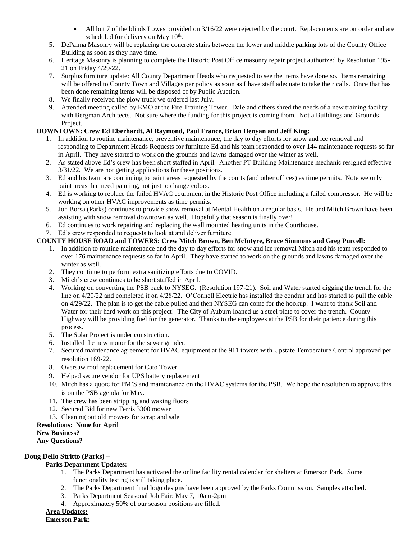- $\bullet$  All but 7 of the blinds Lowes provided on  $3/16/22$  were rejected by the court. Replacements are on order and are scheduled for delivery on May 10<sup>th</sup>.
- 5. DePalma Masonry will be replacing the concrete stairs between the lower and middle parking lots of the County Office Building as soon as they have time.
- 6. Heritage Masonry is planning to complete the Historic Post Office masonry repair project authorized by Resolution 195- 21 on Friday 4/29/22.
- 7. Surplus furniture update: All County Department Heads who requested to see the items have done so. Items remaining will be offered to County Town and Villages per policy as soon as I have staff adequate to take their calls. Once that has been done remaining items will be disposed of by Public Auction.
- 8. We finally received the plow truck we ordered last July.
- 9. Attended meeting called by EMO at the Fire Training Tower. Dale and others shred the needs of a new training facility with Bergman Architects. Not sure where the funding for this project is coming from. Not a Buildings and Grounds Project.

# **DOWNTOWN: Crew Ed Eberhardt, Al Raymond, Paul France, Brian Henyan and Jeff King:**

- 1. In addition to routine maintenance, preventive maintenance, the day to day efforts for snow and ice removal and responding to Department Heads Requests for furniture Ed and his team responded to over 144 maintenance requests so far in April. They have started to work on the grounds and lawns damaged over the winter as well.
- 2. As stated above Ed's crew has been short staffed in April. Another PT Building Maintenance mechanic resigned effective 3/31/22. We are not getting applications for these positions.
- 3. Ed and his team are continuing to paint areas requested by the courts (and other offices) as time permits. Note we only paint areas that need painting, not just to change colors.
- 4. Ed is working to replace the failed HVAC equipment in the Historic Post Office including a failed compressor. He will be working on other HVAC improvements as time permits.
- 5. Jon Borsa (Parks) continues to provide snow removal at Mental Health on a regular basis. He and Mitch Brown have been assisting with snow removal downtown as well. Hopefully that season is finally over!
- 6. Ed continues to work repairing and replacing the wall mounted heating units in the Courthouse.
- 7. Ed's crew responded to requests to look at and deliver furniture.

# **COUNTY HOUSE ROAD and TOWERS: Crew Mitch Brown, Ben McIntyre, Bruce Simmons and Greg Purcell:**

- 1. In addition to routine maintenance and the day to day efforts for snow and ice removal Mitch and his team responded to over 176 maintenance requests so far in April. They have started to work on the grounds and lawns damaged over the winter as well.
- 2. They continue to perform extra sanitizing efforts due to COVID.
- 3. Mitch's crew continues to be short staffed in April.
- 4. Working on converting the PSB back to NYSEG. (Resolution 197-21). Soil and Water started digging the trench for the line on 4/20/22 and completed it on 4/28/22. O'Connell Electric has installed the conduit and has started to pull the cable on 4/29/22. The plan is to get the cable pulled and then NYSEG can come for the hookup. I want to thank Soil and Water for their hard work on this project! The City of Auburn loaned us a steel plate to cover the trench. County Highway will be providing fuel for the generator. Thanks to the employees at the PSB for their patience during this process.
- 5. The Solar Project is under construction.
- 6. Installed the new motor for the sewer grinder.
- 7. Secured maintenance agreement for HVAC equipment at the 911 towers with Upstate Temperature Control approved per resolution 169-22.
- 8. Oversaw roof replacement for Cato Tower
- 9. Helped secure vendor for UPS battery replacement
- 10. Mitch has a quote for PM'S and maintenance on the HVAC systems for the PSB. We hope the resolution to approve this is on the PSB agenda for May.
- 11. The crew has been stripping and waxing floors
- 12. Secured Bid for new Ferris 3300 mower
- 13. Cleaning out old mowers for scrap and sale

# **Resolutions: None for April**

#### **New Business?**

**Any Questions?**

# **Doug Dello Stritto (Parks) –**

# **Parks Department Updates:**

- 1. The Parks Department has activated the online facility rental calendar for shelters at Emerson Park. Some functionality testing is still taking place.
- 2. The Parks Department final logo designs have been approved by the Parks Commission. Samples attached.
- 3. Parks Department Seasonal Job Fair: May 7, 10am-2pm
- 4. Approximately 50% of our season positions are filled.

# **Area Updates:**

**Emerson Park:**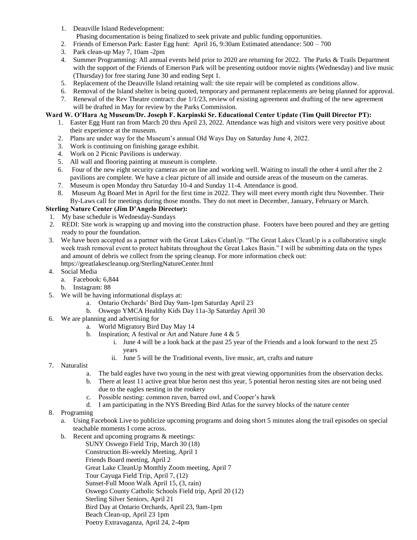1. Deauville Island Redevelopment:

Phasing documentation is being finalized to seek private and public funding opportunities.

- 2. Friends of Emerson Park: Easter Egg hunt: April 16, 9:30am Estimated attendance: 500 700
- 3. Park clean-up May 7, 10am -2pm
- 4. Summer Programming: All annual events held prior to 2020 are returning for 2022. The Parks & Trails Department with the support of the Friends of Emerson Park will be presenting outdoor movie nights (Wednesday) and live music (Thursday) for free staring June 30 and ending Sept 1.
- 5. Replacement of the Deauville Island retaining wall: the site repair will be completed as conditions allow.
- 6. Removal of the Island shelter is being quoted, temporary and permanent replacements are being planned for approval.
- 7. Renewal of the Rev Theatre contract: due 1/1/23, review of existing agreement and drafting of the new agreement will be drafted in May for review by the Parks Commission.

# **Ward W. O'Hara Ag Museum/Dr. Joseph F. Karpinski Sr. Educational Center Update (Tim Quill Director PT):**

- 1. Easter Egg Hunt ran from March 20 thru April 23, 2022. Attendance was high and visitors were very positive about their experience at the museum.
- 2. Plans are under way for the Museum's annual Old Ways Day on Saturday June 4, 2022.
- 3. Work is continuing on finishing garage exhibit.
- 4. Work on 2 Picnic Pavilions is underway.
- 5. All wall and flooring painting at museum is complete.
- 6. Four of the new eight security cameras are on line and working well. Waiting to install the other 4 until after the 2 pavilions are complete. We have a clear picture of all inside and outside areas of the museum on the cameras.
- 7. Museum is open Monday thru Saturday 10-4 and Sunday 11-4. Attendance is good.
- 8. Museum Ag Board Met in April for the first time in 2022. They will meet every month right thru November. Their By-Laws call for meetings during those months. They do not meet in December, January, February or March.

# **Sterling Nature Center (Jim D'Angelo Director):**

- 1. My base schedule is Wednesday-Sundays
- 2. REDI: Site work is wrapping up and moving into the construction phase. Footers have been poured and they are getting ready to pour the foundation.
- 3. We have been accepted as a partner with the Great Lakes CelanUp. "The Great Lakes CleanUp is a collaborative single week trash removal event to protect habitats throughout the Great Lakes Basin." I will be submitting data on the types and amount of debris we collect from the spring cleanup. For more information check out: https://greatlakescleanup.org/SterlingNatureCenter.html
- 4. Social Media
	- a. Facebook: 6,844
	- b. Instagram: 88
- 5. We will be having informational displays at:
	- a. Ontario Orchards' Bird Day 9am-1pm Saturday April 23
	- b. Oswego YMCA Healthy Kids Day 11a-3p Saturday April 30
- 6. We are planning and advertising for
	- a. World Migratory Bird Day May 14
	- b. Inspiration; A festival or Art and Nature June 4 & 5
		- i. June 4 will be a look back at the past 25 year of the Friends and a look forward to the next 25 years
		- ii. June 5 will be the Traditional events, live music, art, crafts and nature
- 7. Naturalist
	- a. The bald eagles have two young in the nest with great viewing opportunities from the observation decks.
	- b. There at least 11 active great blue heron nest this year, 5 potential heron nesting sites are not being used due to the eagles nesting in the rookery
	- c. Possible nesting: common raven, barred owl, and Cooper's hawk
	- d. I am participating in the NYS Breeding Bird Atlas for the survey blocks of the nature center
- 8. Programing
	- a. Using Facebook Live to publicize upcoming programs and doing short 5 minutes along the trail episodes on special teachable moments I come across.
	- b. Recent and upcoming programs & meetings:
		- SUNY Oswego Field Trip, March 30 (18) Construction Bi-weekly Meeting, April 1 Friends Board meeting, April 2 Great Lake CleanUp Monthly Zoom meeting, April 7 Tour Cayuga Field Trip, April 7, (12) Sunset-Full Moon Walk April 15, (3, rain) Oswego County Catholic Schools Field trip, April 20 (12) Sterling Silver Seniors, April 21 Bird Day at Ontario Orchards, April 23, 9am-1pm Beach Clean-up, April 23 1pm Poetry Extravaganza, April 24, 2-4pm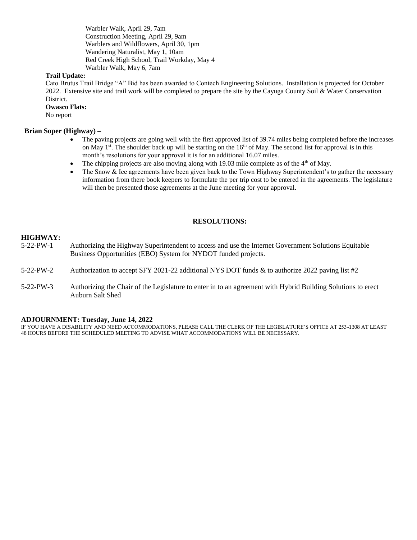Warbler Walk, April 29, 7am Construction Meeting, April 29, 9am Warblers and Wildflowers, April 30, 1pm Wandering Naturalist, May 1, 10am Red Creek High School, Trail Workday, May 4 Warbler Walk, May 6, 7am

#### **Trail Update:**

Cato Brutus Trail Bridge "A" Bid has been awarded to Contech Engineering Solutions. Installation is projected for October 2022. Extensive site and trail work will be completed to prepare the site by the Cayuga County Soil & Water Conservation District.

#### **Owasco Flats:**

No report

#### **Brian Soper (Highway) –**

- The paving projects are going well with the first approved list of 39.74 miles being completed before the increases on May 1<sup>st</sup>. The shoulder back up will be starting on the  $16<sup>th</sup>$  of May. The second list for approval is in this month's resolutions for your approval it is for an additional 16.07 miles.
- The chipping projects are also moving along with 19.03 mile complete as of the 4<sup>th</sup> of May.
- The Snow & Ice agreements have been given back to the Town Highway Superintendent's to gather the necessary information from there book keepers to formulate the per trip cost to be entered in the agreements. The legislature will then be presented those agreements at the June meeting for your approval.

#### **RESOLUTIONS:**

#### **HIGHWAY:**

- 5-22-PW-1 Authorizing the Highway Superintendent to access and use the Internet Government Solutions Equitable Business Opportunities (EBO) System for NYDOT funded projects.
- 5-22-PW-2 Authorization to accept SFY 2021-22 additional NYS DOT funds & to authorize 2022 paving list #2
- 5-22-PW-3 Authorizing the Chair of the Legislature to enter in to an agreement with Hybrid Building Solutions to erect Auburn Salt Shed

#### **ADJOURNMENT: Tuesday, June 14, 2022**

IF YOU HAVE A DISABILITY AND NEED ACCOMMODATIONS, PLEASE CALL THE CLERK OF THE LEGISLATURE'S OFFICE AT 253-1308 AT LEAST 48 HOURS BEFORE THE SCHEDULED MEETING TO ADVISE WHAT ACCOMMODATIONS WILL BE NECESSARY.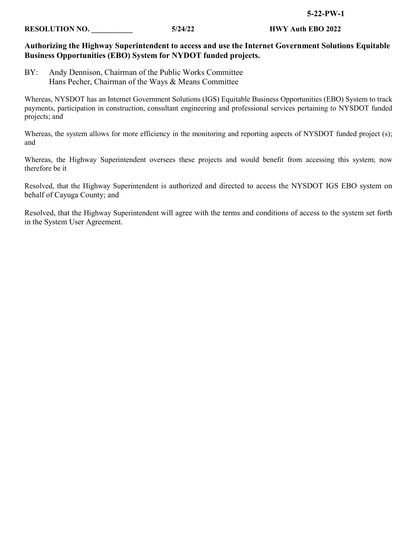#### **RESOLUTION NO. \_\_\_\_\_\_\_\_\_\_\_ 5/24/22 HWY Auth EBO 2022**

# **Authorizing the Highway Superintendent to access and use the Internet Government Solutions Equitable Business Opportunities (EBO) System for NYDOT funded projects.**

BY: Andy Dennison, Chairman of the Public Works Committee Hans Pecher, Chairman of the Ways & Means Committee

Whereas, NYSDOT has an Internet Government Solutions (IGS) Equitable Business Opportunities (EBO) System to track payments, participation in construction, consultant engineering and professional services pertaining to NYSDOT funded projects; and

Whereas, the system allows for more efficiency in the monitoring and reporting aspects of NYSDOT funded project (s); and

Whereas, the Highway Superintendent oversees these projects and would benefit from accessing this system; now therefore be it

Resolved, that the Highway Superintendent is authorized and directed to access the NYSDOT IGS EBO system on behalf of Cayuga County; and

Resolved, that the Highway Superintendent will agree with the terms and conditions of access to the system set forth in the System User Agreement.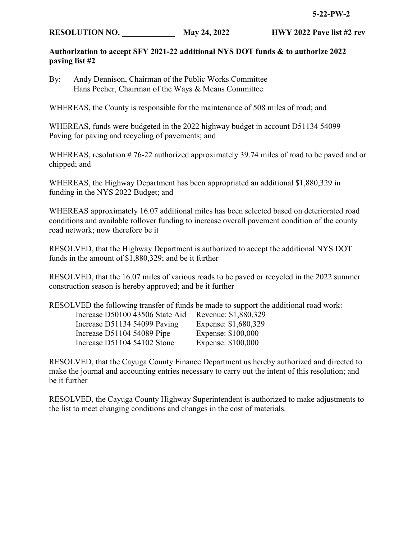# **RESOLUTION NO.** May 24, 2022 HWY 2022 Pave list #2 rev

# **Authorization to accept SFY 2021-22 additional NYS DOT funds & to authorize 2022 paving list #2**

By: Andy Dennison, Chairman of the Public Works Committee Hans Pecher, Chairman of the Ways & Means Committee

WHEREAS, the County is responsible for the maintenance of 508 miles of road; and

WHEREAS, funds were budgeted in the 2022 highway budget in account D51134 54099– Paving for paving and recycling of pavements; and

WHEREAS, resolution # 76-22 authorized approximately 39.74 miles of road to be paved and or chipped; and

WHEREAS, the Highway Department has been appropriated an additional \$1,880,329 in funding in the NYS 2022 Budget; and

WHEREAS approximately 16.07 additional miles has been selected based on deteriorated road conditions and available rollover funding to increase overall pavement condition of the county road network; now therefore be it

RESOLVED, that the Highway Department is authorized to accept the additional NYS DOT funds in the amount of \$1,880,329; and be it further

RESOLVED, that the 16.07 miles of various roads to be paved or recycled in the 2022 summer construction season is hereby approved; and be it further

RESOLVED the following transfer of funds be made to support the additional road work:

| Increase D50100 43506 State Aid | Revenue: \$1,880,329 |
|---------------------------------|----------------------|
| Increase D51134 54099 Paving    | Expense: \$1,680,329 |
| Increase D51104 54089 Pipe      | Expense: \$100,000   |
| Increase D51104 54102 Stone     | Expense: \$100,000   |

RESOLVED, that the Cayuga County Finance Department us hereby authorized and directed to make the journal and accounting entries necessary to carry out the intent of this resolution; and be it further

RESOLVED, the Cayuga County Highway Superintendent is authorized to make adjustments to the list to meet changing conditions and changes in the cost of materials.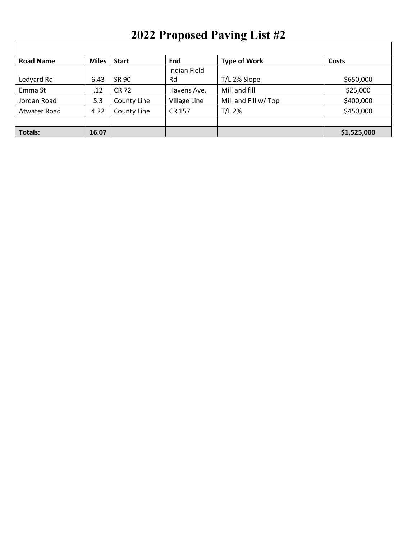# **2022 Proposed Paving List #2**

 $\Gamma$ 

| <b>Road Name</b> | <b>Miles</b> | <b>Start</b> | End          | <b>Type of Work</b>  | Costs       |
|------------------|--------------|--------------|--------------|----------------------|-------------|
|                  |              |              | Indian Field |                      |             |
| Ledyard Rd       | 6.43         | SR 90        | Rd           | T/L 2% Slope         | \$650,000   |
| Emma St          | .12          | CR 72        | Havens Ave.  | Mill and fill        | \$25,000    |
| Jordan Road      | 5.3          | County Line  | Village Line | Mill and Fill w/ Top | \$400,000   |
| Atwater Road     | 4.22         | County Line  | CR 157       | $T/L$ 2%             | \$450,000   |
|                  |              |              |              |                      |             |
| <b>Totals:</b>   | 16.07        |              |              |                      | \$1,525,000 |